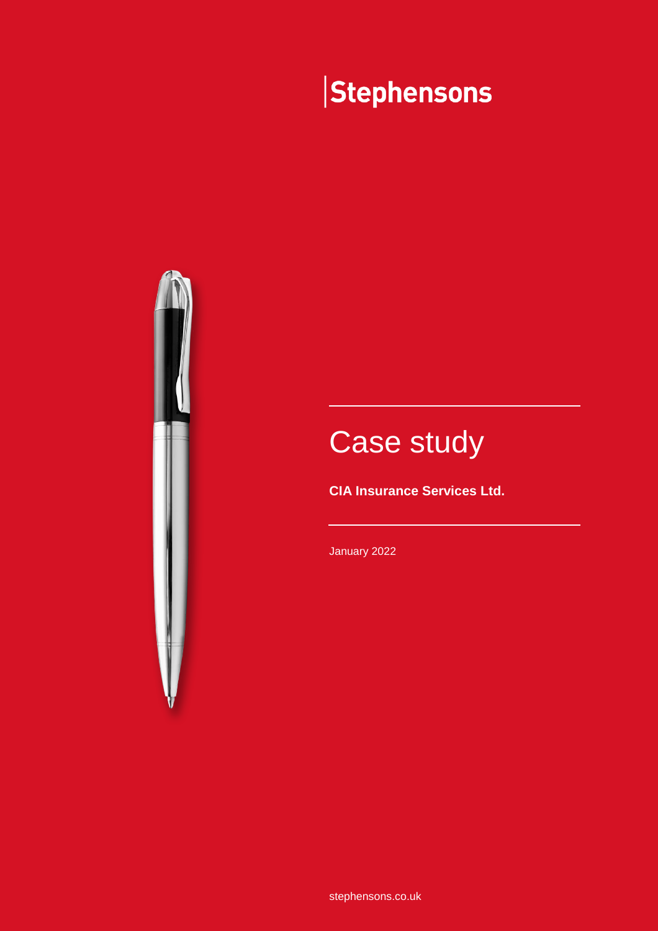# Stephensons



# Case study

**CIA Insurance Services Ltd.**

January 2022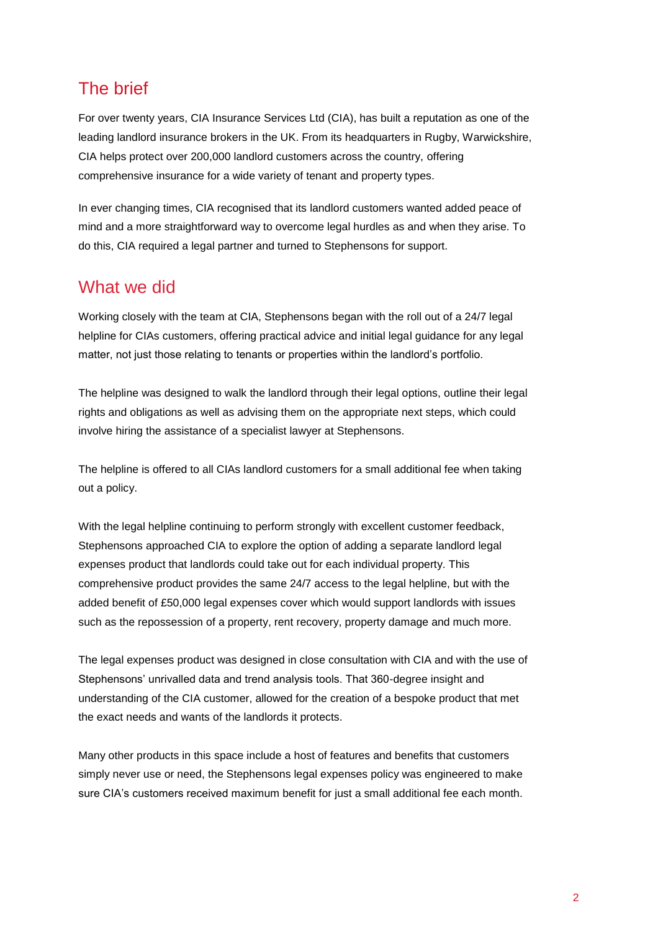### The brief

For over twenty years, CIA Insurance Services Ltd (CIA), has built a reputation as one of the leading landlord insurance brokers in the UK. From its headquarters in Rugby, Warwickshire, CIA helps protect over 200,000 landlord customers across the country, offering comprehensive insurance for a wide variety of tenant and property types.

In ever changing times, CIA recognised that its landlord customers wanted added peace of mind and a more straightforward way to overcome legal hurdles as and when they arise. To do this, CIA required a legal partner and turned to Stephensons for support.

#### What we did

Working closely with the team at CIA, Stephensons began with the roll out of a 24/7 legal helpline for CIAs customers, offering practical advice and initial legal guidance for any legal matter, not just those relating to tenants or properties within the landlord's portfolio.

The helpline was designed to walk the landlord through their legal options, outline their legal rights and obligations as well as advising them on the appropriate next steps, which could involve hiring the assistance of a specialist lawyer at Stephensons.

The helpline is offered to all CIAs landlord customers for a small additional fee when taking out a policy.

With the legal helpline continuing to perform strongly with excellent customer feedback, Stephensons approached CIA to explore the option of adding a separate landlord legal expenses product that landlords could take out for each individual property. This comprehensive product provides the same 24/7 access to the legal helpline, but with the added benefit of £50,000 legal expenses cover which would support landlords with issues such as the repossession of a property, rent recovery, property damage and much more.

The legal expenses product was designed in close consultation with CIA and with the use of Stephensons' unrivalled data and trend analysis tools. That 360-degree insight and understanding of the CIA customer, allowed for the creation of a bespoke product that met the exact needs and wants of the landlords it protects.

Many other products in this space include a host of features and benefits that customers simply never use or need, the Stephensons legal expenses policy was engineered to make sure CIA's customers received maximum benefit for just a small additional fee each month.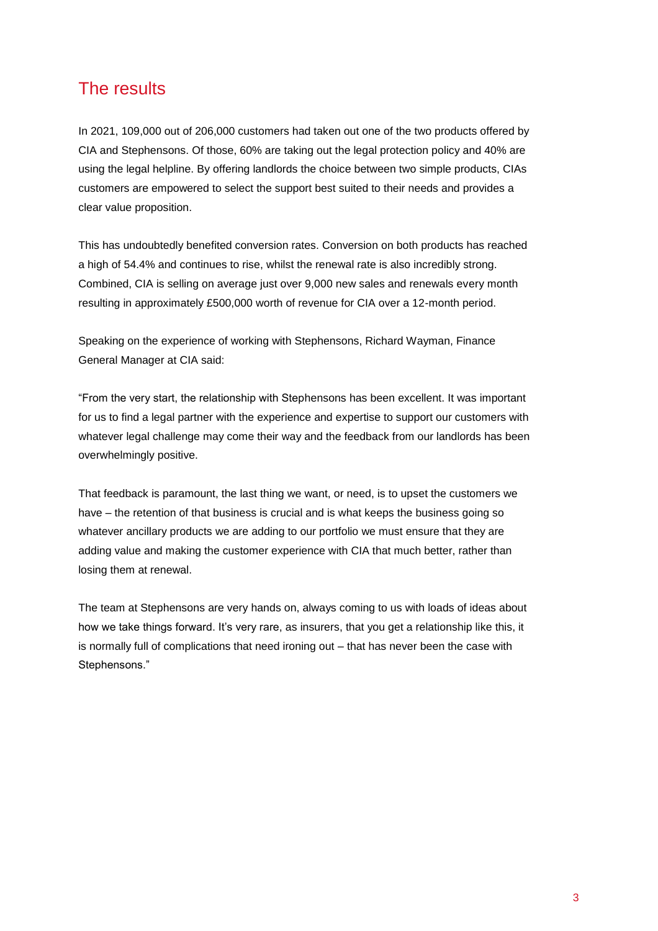#### The results

In 2021, 109,000 out of 206,000 customers had taken out one of the two products offered by CIA and Stephensons. Of those, 60% are taking out the legal protection policy and 40% are using the legal helpline. By offering landlords the choice between two simple products, CIAs customers are empowered to select the support best suited to their needs and provides a clear value proposition.

This has undoubtedly benefited conversion rates. Conversion on both products has reached a high of 54.4% and continues to rise, whilst the renewal rate is also incredibly strong. Combined, CIA is selling on average just over 9,000 new sales and renewals every month resulting in approximately £500,000 worth of revenue for CIA over a 12-month period.

Speaking on the experience of working with Stephensons, Richard Wayman, Finance General Manager at CIA said:

"From the very start, the relationship with Stephensons has been excellent. It was important for us to find a legal partner with the experience and expertise to support our customers with whatever legal challenge may come their way and the feedback from our landlords has been overwhelmingly positive.

That feedback is paramount, the last thing we want, or need, is to upset the customers we have – the retention of that business is crucial and is what keeps the business going so whatever ancillary products we are adding to our portfolio we must ensure that they are adding value and making the customer experience with CIA that much better, rather than losing them at renewal.

The team at Stephensons are very hands on, always coming to us with loads of ideas about how we take things forward. It's very rare, as insurers, that you get a relationship like this, it is normally full of complications that need ironing out – that has never been the case with Stephensons."